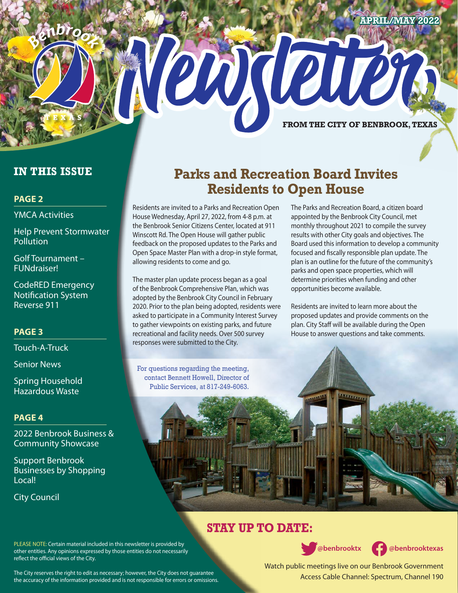#### **APRIL/MAY 2022**



# **IN THIS ISSUE**

## **PAGE 2**

YMCA Activities

Help Prevent Stormwater **Pollution** 

Golf Tournament – FUNdraiser!

CodeRED Emergency Notification System Reverse 911

# **PAGE 3**

Touch-A-Truck

Senior News

Spring Household Hazardous Waste

#### **PAGE 4**

2022 Benbrook Business & Community Showcase

Support Benbrook Businesses by Shopping Local!

reflect the official views of the City.

City Council

# **Parks and Recreation Board Invites Residents to Open House**

Residents are invited to a Parks and Recreation Open House Wednesday, April 27, 2022, from 4-8 p.m. at the Benbrook Senior Citizens Center, located at 911 Winscott Rd. The Open House will gather public feedback on the proposed updates to the Parks and Open Space Master Plan with a drop-in style format, allowing residents to come and go.

The master plan update process began as a goal of the Benbrook Comprehensive Plan, which was adopted by the Benbrook City Council in February 2020. Prior to the plan being adopted, residents were asked to participate in a Community Interest Survey to gather viewpoints on existing parks, and future recreational and facility needs. Over 500 survey responses were submitted to the City.

For questions regarding the meeting, contact Bennett Howell, Director of Public Services, at 817-249-6063.

The Parks and Recreation Board, a citizen board appointed by the Benbrook City Council, met monthly throughout 2021 to compile the survey results with other City goals and objectives. The Board used this information to develop a community focused and fiscally responsible plan update. The plan is an outline for the future of the community's parks and open space properties, which will determine priorities when funding and other opportunities become available.

Residents are invited to learn more about the proposed updates and provide comments on the plan. City Staff will be available during the Open House to answer questions and take comments.

# **STAY UP TO DATE:**



 **@benbrooktx @benbrooktexas**

Watch public meetings live on our Benbrook Government Access Cable Channel: Spectrum, Channel 190

The City reserves the right to edit as necessary; however, the City does not guarantee the accuracy of the information provided and is not responsible for errors or omissions.

PLEASE NOTE: Certain material included in this newsletter is provided by other entities. Any opinions expressed by those entities do not necessarily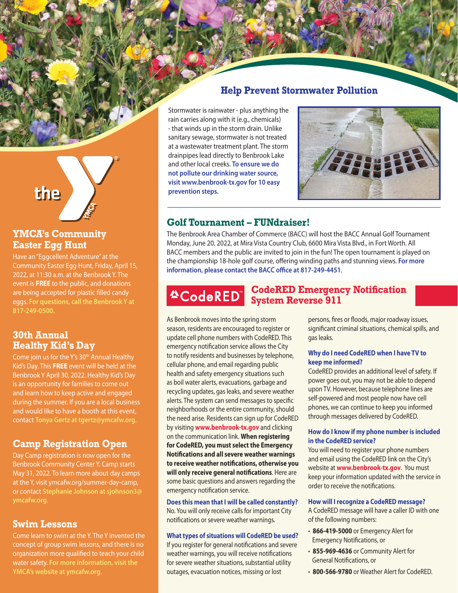# **Help Prevent Stormwater Pollution**

Stormwater is rainwater - plus anything the rain carries along with it (e.g., chemicals) - that winds up in the storm drain. Unlike sanitary sewage, stormwater is not treated at a wastewater treatment plant. The storm drainpipes lead directly to Benbrook Lake and other local creeks. **To ensure we do not pollute our drinking water source, visit www.benbrook-tx.gov for 10 easy prevention steps.**



# **Golf Tournament – FUNdraiser!**

The Benbrook Area Chamber of Commerce (BACC) will host the BACC Annual Golf Tournament Monday, June 20, 2022, at Mira Vista Country Club, 6600 Mira Vista Blvd., in Fort Worth. All BACC members and the public are invited to join in the fun! The open tournament is played on the championship 18-hole golf course, offering winding paths and stunning views. **For more information, please contact the BACC office at 817-249-4451**.

**4CodeRED** 

# **CodeRED Emergency Notification System Reverse 911**

As Benbrook moves into the spring storm season, residents are encouraged to register or update cell phone numbers with CodeRED. This emergency notification service allows the City to notify residents and businesses by telephone, cellular phone, and email regarding public health and safety emergency situations such as boil water alerts, evacuations, garbage and recycling updates, gas leaks, and severe weather alerts. The system can send messages to specific neighborhoods or the entire community, should the need arise. Residents can sign up for CodeRED by visiting **[www.benbrook-tx.gov](http://www.benbrook-tx.gov)** and clicking on the communication link. **When registering for CodeRED, you must select the Emergency Notifications and all severe weather warnings to receive weather notifications, otherwise you will only receive general notifications**. Here are some basic questions and answers regarding the emergency notification service.

#### **Does this mean that I will be called constantly?**

No. You will only receive calls for important City notifications or severe weather warnings.

#### **What types of situations will CodeRED be used?**

If you register for general notifications and severe weather warnings, you will receive notifications for severe weather situations, substantial utility outages, evacuation notices, missing or lost

persons, fires or floods, major roadway issues, significant criminal situations, chemical spills, and gas leaks.

#### **Why do I need CodeRED when I have TV to keep me informed?**

CodeRED provides an additional level of safety. If power goes out, you may not be able to depend upon TV. However, because telephone lines are self-powered and most people now have cell phones, we can continue to keep you informed through messages delivered by CodeRED.

#### **How do I know if my phone number is included in the CodeRED service?**

You will need to register your phone numbers and email using the CodeRED link on the City's website at **[www.benbrook-tx.gov](http://www.benbrook-tx.gov)**. You must keep your information updated with the service in order to receive the notifications.

#### **How will I recognize a CodeRED message?**

A CodeRED message will have a caller ID with one of the following numbers:

- **866-419-5000** or Emergency Alert for Emergency Notifications, or
- **855-969-4636** or Community Alert for General Notifications, or
- **800-566-9780** or Weather Alert for CodeRED.

the

# **YMCA's Community Easter Egg Hunt**

Have an "Eggcellent Adventure" at the Community Easter Egg Hunt, Friday, April 15, 2022, at 11:30 a.m. at the Benbrook Y. The event is **FREE** to the public, and donations are being accepted for plastic filled candy eggs. **For questions, call the Benbrook Y at 817-249-0500.**

# **30th Annual Healthy Kid's Day**

Come join us for the Y's 30<sup>th</sup> Annual Healthy Kid's Day. This **FREE** event will be held at the Benbrook Y April 30, 2022. Healthy Kid's Day is an opportunity for families to come out and learn how to keep active and engaged during the summer. If you are a local business and would like to have a booth at this event, contact **Tonya Gertz at tgertz@ymcafw.org**.

# **Camp Registration Open**

Day Camp registration is now open for the Benbrook Community Center Y. Camp starts May 31, 2022. To learn more about day camps at the Y, visit ymcafw.org/summer-day-camp, or contact **Stephanie Johnson at sjohnson3@**

## **Swim Lessons**

Come learn to swim at the Y. The Y invented the concept of group swim lessons, and there is no organization more qualified to teach your child water safety. **For more information, visit the YMCA's website at ymcafw.org**.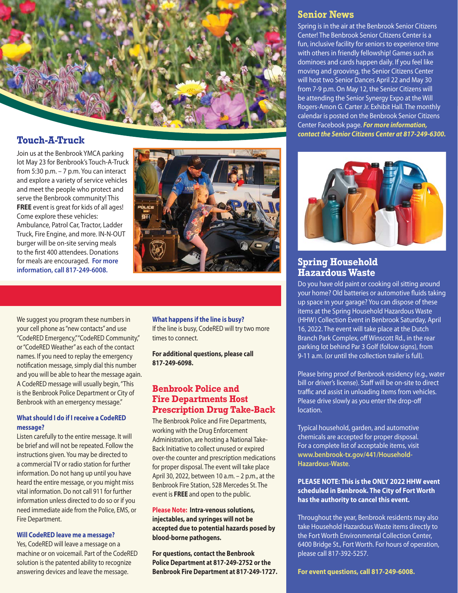

# **Touch-A-Truck**

Join us at the Benbrook YMCA parking lot May 23 for Benbrook's Touch-A-Truck from 5:30 p.m. – 7 p.m. You can interact and explore a variety of service vehicles and meet the people who protect and serve the Benbrook community! This **FREE** event is great for kids of all ages! Come explore these vehicles: Ambulance, Patrol Car, Tractor, Ladder Truck, Fire Engine, and more. IN-N-OUT burger will be on-site serving meals to the first 400 attendees. Donations for meals are encouraged. **For more information, call 817-249-6008.**



We suggest you program these numbers in your cell phone as "new contacts" and use "CodeRED Emergency," "CodeRED Community," or "CodeRED Weather" as each of the contact names. If you need to replay the emergency notification message, simply dial this number and you will be able to hear the message again. A CodeRED message will usually begin, "This is the Benbrook Police Department or City of Benbrook with an emergency message."

#### **What should I do if I receive a CodeRED message?**

Listen carefully to the entire message. It will be brief and will not be repeated. Follow the instructions given. You may be directed to a commercial TV or radio station for further information. Do not hang up until you have heard the entire message, or you might miss vital information. Do not call 911 for further information unless directed to do so or if you need immediate aide from the Police, EMS, or Fire Department.

#### **Will CodeRED leave me a message?**

Yes, CodeRED will leave a message on a machine or on voicemail. Part of the CodeRED solution is the patented ability to recognize answering devices and leave the message.

**What happens if the line is busy?** If the line is busy, CodeRED will try two more times to connect.

**For additional questions, please call 817-249-6098.**

## **Benbrook Police and Fire Departments Host Prescription Drug Take-Back**

The Benbrook Police and Fire Departments, working with the Drug Enforcement Administration, are hosting a National Take-Back Initiative to collect unused or expired over-the counter and prescription medications for proper disposal. The event will take place April 30, 2022, between 10 a.m. – 2 p.m., at the Benbrook Fire Station, 528 Mercedes St. The event is **FREE** and open to the public.

**Please Note: Intra-venous solutions, injectables, and syringes will not be accepted due to potential hazards posed by blood-borne pathogens.**

**For questions, contact the Benbrook Police Department at 817-249-2752 or the Benbrook Fire Department at 817-249-1727.**

# **Senior News**

Spring is in the air at the Benbrook Senior Citizens Center! The Benbrook Senior Citizens Center is a fun, inclusive facility for seniors to experience time with others in friendly fellowship! Games such as dominoes and cards happen daily. If you feel like moving and grooving, the Senior Citizens Center will host two Senior Dances April 22 and May 30 from 7-9 p.m. On May 12, the Senior Citizens will be attending the Senior Synergy Expo at the Will Rogers-Amon G. Carter Jr. Exhibit Hall. The monthly calendar is posted on the Benbrook Senior Citizens Center Facebook page. *For more information, contact the Senior Citizens Center at 817-249-6300.*



# **Spring Household Hazardous Waste**

Do you have old paint or cooking oil sitting around your home? Old batteries or automotive fluids taking up space in your garage? You can dispose of these items at the Spring Household Hazardous Waste (HHW) Collection Event in Benbrook Saturday, April 16, 2022. The event will take place at the Dutch Branch Park Complex, off Winscott Rd., in the rear parking lot behind Par 3 Golf (follow signs), from 9-11 a.m. (or until the collection trailer is full).

Please bring proof of Benbrook residency (e.g., water bill or driver's license). Staff will be on-site to direct traffic and assist in unloading items from vehicles. Please drive slowly as you enter the drop-off location.

Typical household, garden, and automotive chemicals are accepted for proper disposal. For a complete list of acceptable items, visit **[www.benbrook-tx.gov/441/Household-](http://www.benbrook-tx.gov/441/Household-Hazardous-Waste)[Hazardous-Waste](http://www.benbrook-tx.gov/441/Household-Hazardous-Waste)**.

#### **PLEASE NOTE: This is the ONLY 2022 HHW event scheduled in Benbrook. The City of Fort Worth has the authority to cancel this event.**

Throughout the year, Benbrook residents may also take Household Hazardous Waste items directly to the Fort Worth Environmental Collection Center, 6400 Bridge St., Fort Worth. For hours of operation, please call 817-392-5257.

**For event questions, call 817-249-6008.**